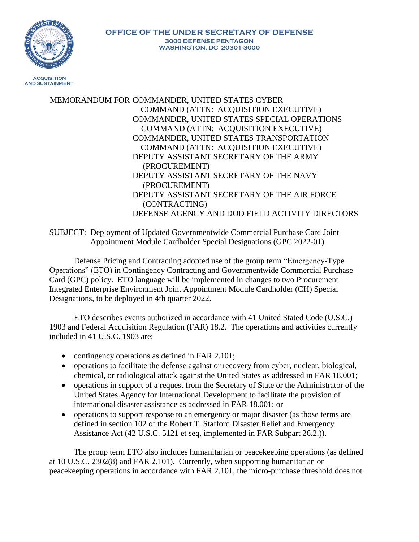

MEMORANDUM FOR COMMANDER, UNITED STATES CYBER COMMAND (ATTN: ACQUISITION EXECUTIVE) COMMANDER, UNITED STATES SPECIAL OPERATIONS COMMAND (ATTN: ACQUISITION EXECUTIVE) COMMANDER, UNITED STATES TRANSPORTATION COMMAND (ATTN: ACQUISITION EXECUTIVE) DEPUTY ASSISTANT SECRETARY OF THE ARMY (PROCUREMENT) DEPUTY ASSISTANT SECRETARY OF THE NAVY (PROCUREMENT) DEPUTY ASSISTANT SECRETARY OF THE AIR FORCE (CONTRACTING) DEFENSE AGENCY AND DOD FIELD ACTIVITY DIRECTORS

SUBJECT: Deployment of Updated Governmentwide Commercial Purchase Card Joint Appointment Module Cardholder Special Designations (GPC 2022-01)

Defense Pricing and Contracting adopted use of the group term "Emergency-Type Operations" (ETO) in Contingency Contracting and Governmentwide Commercial Purchase Card (GPC) policy. ETO language will be implemented in changes to two Procurement Integrated Enterprise Environment Joint Appointment Module Cardholder (CH) Special Designations, to be deployed in 4th quarter 2022.

ETO describes events authorized in accordance with 41 United Stated Code (U.S.C.) 1903 and Federal Acquisition Regulation (FAR) 18.2. The operations and activities currently included in 41 U.S.C. 1903 are:

- contingency operations as defined in FAR 2.101;
- operations to facilitate the defense against or recovery from cyber, nuclear, biological, chemical, or radiological attack against the United States as addressed in FAR 18.001;
- operations in support of a request from the Secretary of State or the Administrator of the United States Agency for International Development to facilitate the provision of international disaster assistance as addressed in FAR 18.001; or
- operations to support response to an emergency or major disaster (as those terms are defined in section 102 of the Robert T. Stafford Disaster Relief and Emergency Assistance Act (42 U.S.C. 5121 et seq, implemented in FAR Subpart 26.2.)).

The group term ETO also includes humanitarian or peacekeeping operations (as defined at 10 U.S.C. 2302(8) and FAR 2.101). Currently, when supporting humanitarian or peacekeeping operations in accordance with FAR 2.101, the micro-purchase threshold does not